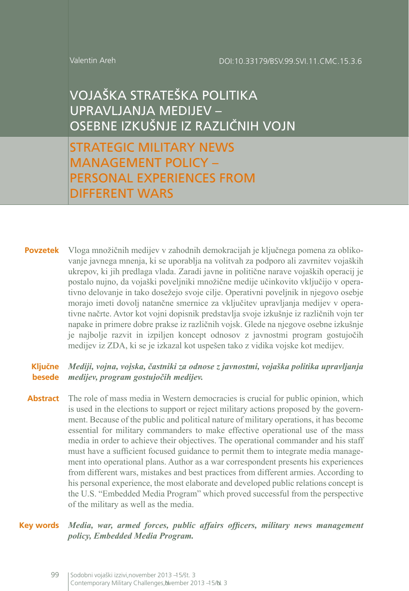#### Valentin Areh

VOJAŠKA STRATEŠKA POLITIKA UPRAVLJANJA MEDIJEV – OSEBNE IZKUŠNJE IZ RAZLIČNIH VOJN

STRATEGIC MILITARY NEWS MANAGEMENT POLICY – PERSONAL EXPERIENCES FROM DIFFERENT WARS

**Povzetek** Vloga množičnih medijev v zahodnih demokracijah je ključnega pomena za oblikovanje javnega mnenja, ki se uporablja na volitvah za podporo ali zavrnitev vojaških ukrepov, ki jih predlaga vlada. Zaradi javne in politične narave vojaških operacij je postalo nujno, da vojaški poveljniki množične medije učinkovito vključijo v operativno delovanje in tako dosežejo svoje cilje. Operativni poveljnik in njegovo osebje morajo imeti dovolj natančne smernice za vključitev upravljanja medijev v operativne načrte. Avtor kot vojni dopisnik predstavlja svoje izkušnje iz različnih vojn ter napake in primere dobre prakse iz različnih vojsk. Glede na njegove osebne izkušnje je najbolje razvit in izpiljen koncept odnosov z javnostmi program gostujočih medijev iz ZDA, ki se je izkazal kot uspešen tako z vidika vojske kot medijev.

#### **Ključne besede** *medijev, program gostujočih medijev. Mediji, vojna, vojska, častniki za odnose z javnostmi, vojaška politika upravljanja*

**Abstract** The role of mass media in Western democracies is crucial for public opinion, which is used in the elections to support or reject military actions proposed by the government. Because of the public and political nature of military operations, it has become essential for military commanders to make effective operational use of the mass media in order to achieve their objectives. The operational commander and his staff must have a sufficient focused guidance to permit them to integrate media management into operational plans. Author as a war correspondent presents his experiences from different wars, mistakes and best practices from different armies. According to his personal experience, the most elaborate and developed public relations concept is the U.S. "Embedded Media Program" which proved successful from the perspective of the military as well as the media.

**Key words** *Media, war, armed forces, public affairs officers, military news management policy, Embedded Media Program.*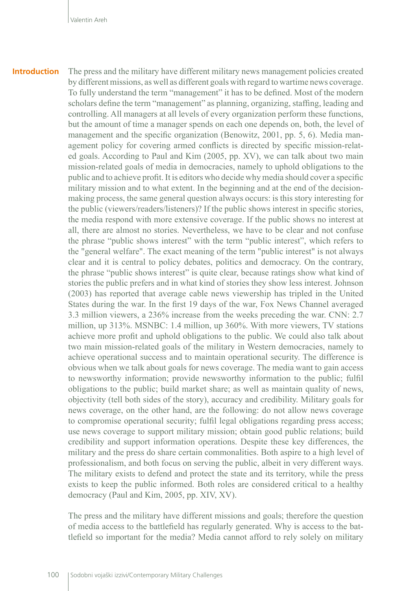The press and the military have different military news management policies created by different missions, as well as different goals with regard to wartime news coverage. To fully understand the term "management" it has to be defined. Most of the modern scholars define the term "management" as planning, organizing, staffing, leading and controlling. All managers at all levels of every organization perform these functions, but the amount of time a manager spends on each one depends on, both, the level of management and the specific organization (Benowitz, 2001, pp. 5, 6). Media management policy for covering armed conflicts is directed by specific mission-related goals. According to Paul and Kim (2005, pp. XV), we can talk about two main mission-related goals of media in democracies, namely to uphold obligations to the public and to achieve profit. It is editors who decide why media should cover a specific military mission and to what extent. In the beginning and at the end of the decisionmaking process, the same general question always occurs: is this story interesting for the public (viewers/readers/listeners)? If the public shows interest in specific stories, the media respond with more extensive coverage. If the public shows no interest at all, there are almost no stories. Nevertheless, we have to be clear and not confuse the phrase "public shows interest" with the term "public interest", which refers to the "general welfare". The exact meaning of the term "public interest" is not always clear and it is central to policy debates, politics and democracy. On the contrary, the phrase "public shows interest" is quite clear, because ratings show what kind of stories the public prefers and in what kind of stories they show less interest. Johnson (2003) has reported that average cable news viewership has tripled in the United States during the war. In the first 19 days of the war, Fox News Channel averaged 3.3 million viewers, a 236% increase from the weeks preceding the war. CNN: 2.7 million, up 313%. MSNBC: 1.4 million, up 360%. With more viewers, TV stations achieve more profit and uphold obligations to the public. We could also talk about two main mission-related goals of the military in Western democracies, namely to achieve operational success and to maintain operational security. The difference is obvious when we talk about goals for news coverage. The media want to gain access to newsworthy information; provide newsworthy information to the public; fulfil obligations to the public; build market share; as well as maintain quality of news, objectivity (tell both sides of the story), accuracy and credibility. Military goals for news coverage, on the other hand, are the following: do not allow news coverage to compromise operational security; fulfil legal obligations regarding press access; use news coverage to support military mission; obtain good public relations; build credibility and support information operations. Despite these key differences, the military and the press do share certain commonalities. Both aspire to a high level of professionalism, and both focus on serving the public, albeit in very different ways. The military exists to defend and protect the state and its territory, while the press exists to keep the public informed. Both roles are considered critical to a healthy democracy (Paul and Kim, 2005, pp. XIV, XV). **Introduction**

> The press and the military have different missions and goals; therefore the question of media access to the battlefield has regularly generated. Why is access to the battlefield so important for the media? Media cannot afford to rely solely on military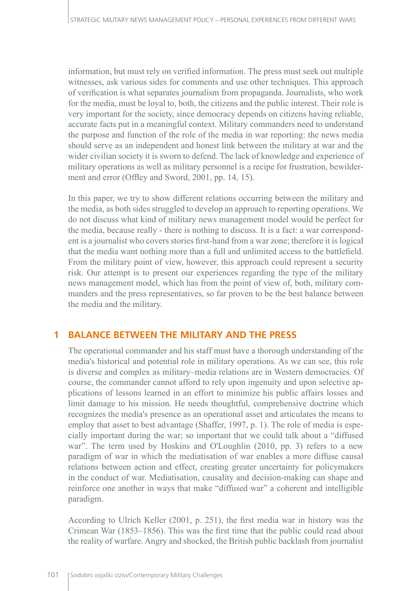information, but must rely on verified information. The press must seek out multiple witnesses, ask various sides for comments and use other techniques. This approach of verification is what separates journalism from propaganda. Journalists, who work for the media, must be loyal to, both, the citizens and the public interest. Their role is very important for the society, since democracy depends on citizens having reliable, accurate facts put in a meaningful context. Military commanders need to understand the purpose and function of the role of the media in war reporting: the news media should serve as an independent and honest link between the military at war and the wider civilian society it is sworn to defend. The lack of knowledge and experience of military operations as well as military personnel is a recipe for frustration, bewilderment and error (Offley and Sword, 2001, pp. 14, 15).

In this paper, we try to show different relations occurring between the military and the media, as both sides struggled to develop an approach to reporting operations. We do not discuss what kind of military news management model would be perfect for the media, because really - there is nothing to discuss. It is a fact: a war correspondent is a journalist who covers stories first-hand from a war zone; therefore it is logical that the media want nothing more than a full and unlimited access to the battlefield. From the military point of view, however, this approach could represent a security risk. Our attempt is to present our experiences regarding the type of the military news management model, which has from the point of view of, both, military commanders and the press representatives, so far proven to be the best balance between the media and the military.

## **1 BALANCE BETWEEN THE MILITARY AND THE PRESS**

The operational commander and his staff must have a thorough understanding of the media's historical and potential role in military operations. As we can see, this role is diverse and complex as military–media relations are in Western democracies. Of course, the commander cannot afford to rely upon ingenuity and upon selective applications of lessons learned in an effort to minimize his public affairs losses and limit damage to his mission. He needs thoughtful, comprehensive doctrine which recognizes the media's presence as an operational asset and articulates the means to employ that asset to best advantage (Shaffer, 1997, p. 1). The role of media is especially important during the war; so important that we could talk about a "diffused war". The term used by Hoskins and O'Loughlin (2010, pp. 3) refers to a new paradigm of war in which the mediatisation of war enables a more diffuse causal relations between action and effect, creating greater uncertainty for policymakers in the conduct of war. Mediatisation, causality and decision-making can shape and reinforce one another in ways that make "diffused war" a coherent and intelligible paradigm.

According to Ulrich Keller (2001, p. 251), the first media war in history was the Crimean War (1853–1856). This was the first time that the public could read about the reality of warfare. Angry and shocked, the British public backlash from journalist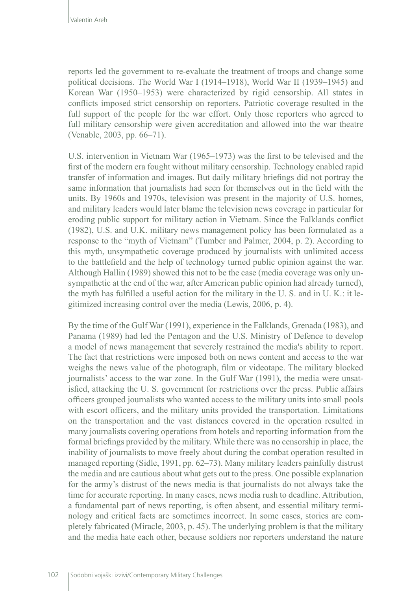reports led the government to re-evaluate the treatment of troops and change some political decisions. The World War I (1914–1918), World War II (1939–1945) and Korean War (1950–1953) were characterized by rigid censorship. All states in conflicts imposed strict censorship on reporters. Patriotic coverage resulted in the full support of the people for the war effort. Only those reporters who agreed to full military censorship were given accreditation and allowed into the war theatre (Venable, 2003, pp. 66–71).

U.S. intervention in Vietnam War (1965–1973) was the first to be televised and the first of the modern era fought without military censorship. Technology enabled rapid transfer of information and images. But daily military briefings did not portray the same information that journalists had seen for themselves out in the field with the units. By 1960s and 1970s, television was present in the majority of U.S. homes, and military leaders would later blame the television news coverage in particular for eroding public support for military action in Vietnam. Since the Falklands conflict (1982), U.S. and U.K. military news management policy has been formulated as a response to the "myth of Vietnam" (Tumber and Palmer, 2004, p. 2). According to this myth, unsympathetic coverage produced by journalists with unlimited access to the battlefield and the help of technology turned public opinion against the war. Although Hallin (1989) showed this not to be the case (media coverage was only unsympathetic at the end of the war, after American public opinion had already turned), the myth has fulfilled a useful action for the military in the U. S. and in U. K.: it legitimized increasing control over the media (Lewis, 2006, p. 4).

By the time of the Gulf War (1991), experience in the Falklands, Grenada (1983), and Panama (1989) had led the Pentagon and the U.S. Ministry of Defence to develop a model of news management that severely restrained the media's ability to report. The fact that restrictions were imposed both on news content and access to the war weighs the news value of the photograph, film or videotape. The military blocked journalists' access to the war zone. In the Gulf War (1991), the media were unsatisfied, attacking the U. S. government for restrictions over the press. Public affairs officers grouped journalists who wanted access to the military units into small pools with escort officers, and the military units provided the transportation. Limitations on the transportation and the vast distances covered in the operation resulted in many journalists covering operations from hotels and reporting information from the formal briefings provided by the military. While there was no censorship in place, the inability of journalists to move freely about during the combat operation resulted in managed reporting (Sidle, 1991, pp. 62–73). Many military leaders painfully distrust the media and are cautious about what gets out to the press. One possible explanation for the army's distrust of the news media is that journalists do not always take the time for accurate reporting. In many cases, news media rush to deadline. Attribution, a fundamental part of news reporting, is often absent, and essential military terminology and critical facts are sometimes incorrect. In some cases, stories are completely fabricated (Miracle, 2003, p. 45). The underlying problem is that the military and the media hate each other, because soldiers nor reporters understand the nature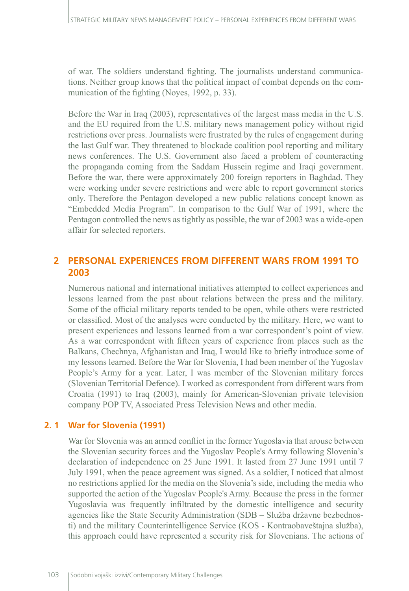of war. The soldiers understand fighting. The journalists understand communications. Neither group knows that the political impact of combat depends on the communication of the fighting (Noyes, 1992, p. 33).

Before the War in Iraq (2003), representatives of the largest mass media in the U.S. and the EU required from the U.S. military news management policy without rigid restrictions over press. Journalists were frustrated by the rules of engagement during the last Gulf war. They threatened to blockade coalition pool reporting and military news conferences. The U.S. Government also faced a problem of counteracting the propaganda coming from the Saddam Hussein regime and Iraqi government. Before the war, there were approximately 200 foreign reporters in Baghdad. They were working under severe restrictions and were able to report government stories only. Therefore the Pentagon developed a new public relations concept known as "Embedded Media Program". In comparison to the Gulf War of 1991, where the Pentagon controlled the news as tightly as possible, the war of 2003 was a wide-open affair for selected reporters.

# **2 PERSONAL EXPERIENCES FROM DIFFERENT WARS FROM 1991 TO 2003**

Numerous national and international initiatives attempted to collect experiences and lessons learned from the past about relations between the press and the military. Some of the official military reports tended to be open, while others were restricted or classified. Most of the analyses were conducted by the military. Here, we want to present experiences and lessons learned from a war correspondent's point of view. As a war correspondent with fifteen years of experience from places such as the Balkans, Chechnya, Afghanistan and Iraq, I would like to briefly introduce some of my lessons learned. Before the War for Slovenia, I had been member of the Yugoslav People's Army for a year. Later, I was member of the Slovenian military forces (Slovenian Territorial Defence). I worked as correspondent from different wars from Croatia (1991) to Iraq (2003), mainly for American-Slovenian private television company POP TV, Associated Press Television News and other media.

## **2. 1 War for Slovenia (1991)**

War for Slovenia was an armed conflict in the former Yugoslavia that arouse between the Slovenian security forces and the Yugoslav People's Army following Slovenia's declaration of independence on 25 June 1991. It lasted from 27 June 1991 until 7 July 1991, when the peace agreement was signed. As a soldier, I noticed that almost no restrictions applied for the media on the Slovenia's side, including the media who supported the action of the Yugoslav People's Army. Because the press in the former Yugoslavia was frequently infiltrated by the domestic intelligence and security agencies like the State Security Administration (SDB – Služba državne bezbednosti) and the military Counterintelligence Service (KOS - Kontraobaveštajna služba), this approach could have represented a security risk for Slovenians. The actions of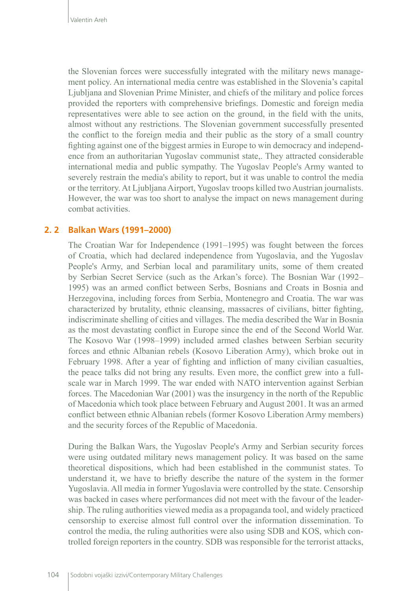the Slovenian forces were successfully integrated with the military news management policy. An international media centre was established in the Slovenia's capital Ljubljana and Slovenian Prime Minister, and chiefs of the military and police forces provided the reporters with comprehensive briefings. Domestic and foreign media representatives were able to see action on the ground, in the field with the units, almost without any restrictions. The Slovenian government successfully presented the conflict to the foreign media and their public as the story of a small country fighting against one of the biggest armies in Europe to win democracy and independence from an authoritarian Yugoslav communist state,. They attracted considerable international media and public sympathy. The Yugoslav People's Army wanted to severely restrain the media's ability to report, but it was unable to control the media or the territory. At Ljubljana Airport, Yugoslav troops killed two Austrian journalists. However, the war was too short to analyse the impact on news management during combat activities.

## **2. 2 Balkan Wars (1991–2000)**

The Croatian War for Independence (1991–1995) was fought between the forces of Croatia, which had declared independence from Yugoslavia, and the Yugoslav People's Army, and Serbian local and paramilitary units, some of them created by Serbian Secret Service (such as the Arkan's force). The Bosnian War (1992– 1995) was an armed conflict between Serbs, Bosnians and Croats in Bosnia and Herzegovina, including forces from Serbia, Montenegro and Croatia. The war was characterized by brutality, ethnic cleansing, massacres of civilians, bitter fighting, indiscriminate shelling of cities and villages. The media described the War in Bosnia as the most devastating conflict in Europe since the end of the Second World War. The Kosovo War (1998–1999) included armed clashes between Serbian security forces and ethnic Albanian rebels (Kosovo Liberation Army), which broke out in February 1998. After a year of fighting and infliction of many civilian casualties, the peace talks did not bring any results. Even more, the conflict grew into a fullscale war in March 1999. The war ended with NATO intervention against Serbian forces. The Macedonian War (2001) was the insurgency in the north of the Republic of Macedonia which took place between February and August 2001. It was an armed conflict between ethnic Albanian rebels (former Kosovo Liberation Army members) and the security forces of the Republic of Macedonia.

During the Balkan Wars, the Yugoslav People's Army and Serbian security forces were using outdated military news management policy. It was based on the same theoretical dispositions, which had been established in the communist states. To understand it, we have to briefly describe the nature of the system in the former Yugoslavia. All media in former Yugoslavia were controlled by the state. Censorship was backed in cases where performances did not meet with the favour of the leadership. The ruling authorities viewed media as a propaganda tool, and widely practiced censorship to exercise almost full control over the information dissemination. To control the media, the ruling authorities were also using SDB and KOS, which controlled foreign reporters in the country. SDB was responsible for the terrorist attacks,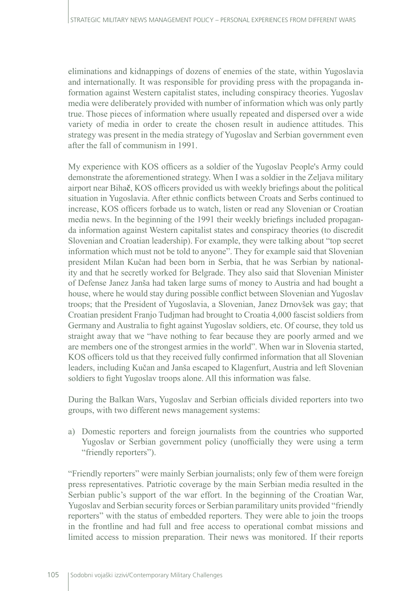eliminations and kidnappings of dozens of enemies of the state, within Yugoslavia and internationally. It was responsible for providing press with the propaganda information against Western capitalist states, including conspiracy theories. Yugoslav media were deliberately provided with number of information which was only partly true. Those pieces of information where usually repeated and dispersed over a wide variety of media in order to create the chosen result in audience attitudes. This strategy was present in the media strategy of Yugoslav and Serbian government even after the fall of communism in 1991.

My experience with KOS officers as a soldier of the Yugoslav People's Army could demonstrate the aforementioned strategy. When I was a soldier in the Zeljava military airport near Biha**č**, KOS officers provided us with weekly briefings about the political situation in Yugoslavia. After ethnic conflicts between Croats and Serbs continued to increase, KOS officers forbade us to watch, listen or read any Slovenian or Croatian media news. In the beginning of the 1991 their weekly briefings included propaganda information against Western capitalist states and conspiracy theories (to discredit Slovenian and Croatian leadership). For example, they were talking about "top secret information which must not be told to anyone". They for example said that Slovenian president Milan Kučan had been born in Serbia, that he was Serbian by nationality and that he secretly worked for Belgrade. They also said that Slovenian Minister of Defense Janez Janša had taken large sums of money to Austria and had bought a house, where he would stay during possible conflict between Slovenian and Yugoslav troops; that the President of Yugoslavia, a Slovenian, Janez Drnovšek was gay; that Croatian president Franjo Tudjman had brought to Croatia 4,000 fascist soldiers from Germany and Australia to fight against Yugoslav soldiers, etc. Of course, they told us straight away that we "have nothing to fear because they are poorly armed and we are members one of the strongest armies in the world". When war in Slovenia started, KOS officers told us that they received fully confirmed information that all Slovenian leaders, including Kučan and Janša escaped to Klagenfurt, Austria and left Slovenian soldiers to fight Yugoslav troops alone. All this information was false.

During the Balkan Wars, Yugoslav and Serbian officials divided reporters into two groups, with two different news management systems:

a) Domestic reporters and foreign journalists from the countries who supported Yugoslav or Serbian government policy (unofficially they were using a term "friendly reporters").

"Friendly reporters" were mainly Serbian journalists; only few of them were foreign press representatives. Patriotic coverage by the main Serbian media resulted in the Serbian public's support of the war effort. In the beginning of the Croatian War, Yugoslav and Serbian security forces or Serbian paramilitary units provided "friendly reporters" with the status of embedded reporters. They were able to join the troops in the frontline and had full and free access to operational combat missions and limited access to mission preparation. Their news was monitored. If their reports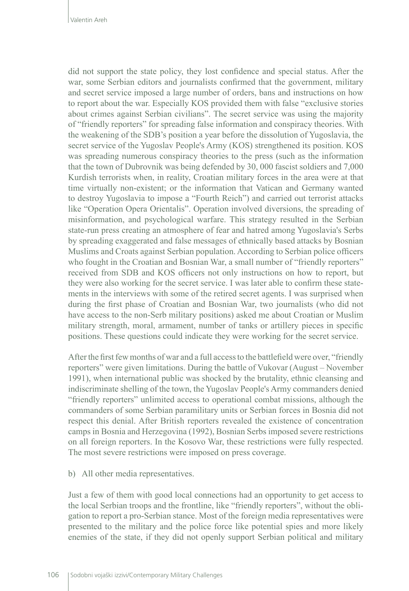did not support the state policy, they lost confidence and special status. After the war, some Serbian editors and journalists confirmed that the government, military and secret service imposed a large number of orders, bans and instructions on how to report about the war. Especially KOS provided them with false "exclusive stories about crimes against Serbian civilians". The secret service was using the majority of "friendly reporters" for spreading false information and conspiracy theories. With the weakening of the SDB's position a year before the dissolution of Yugoslavia, the secret service of the Yugoslav People's Army (KOS) strengthened its position. KOS was spreading numerous conspiracy theories to the press (such as the information that the town of Dubrovnik was being defended by 30, 000 fascist soldiers and 7,000 Kurdish terrorists when, in reality, Croatian military forces in the area were at that time virtually non-existent; or the information that Vatican and Germany wanted to destroy Yugoslavia to impose a "Fourth Reich") and carried out terrorist attacks like "Operation Opera Orientalis". Operation involved diversions, the spreading of misinformation, and psychological warfare. This strategy resulted in the Serbian state-run press creating an atmosphere of fear and hatred among Yugoslavia's Serbs by spreading exaggerated and false messages of ethnically based attacks by Bosnian Muslims and Croats against Serbian population. According to Serbian police officers who fought in the Croatian and Bosnian War, a small number of "friendly reporters" received from SDB and KOS officers not only instructions on how to report, but they were also working for the secret service. I was later able to confirm these statements in the interviews with some of the retired secret agents. I was surprised when during the first phase of Croatian and Bosnian War, two journalists (who did not have access to the non-Serb military positions) asked me about Croatian or Muslim military strength, moral, armament, number of tanks or artillery pieces in specific positions. These questions could indicate they were working for the secret service.

After the first few months of war and a full access to the battlefield were over, "friendly reporters" were given limitations. During the battle of Vukovar (August – November 1991), when international public was shocked by the brutality, ethnic cleansing and indiscriminate shelling of the town, the Yugoslav People's Army commanders denied "friendly reporters" unlimited access to operational combat missions, although the commanders of some Serbian paramilitary units or Serbian forces in Bosnia did not respect this denial. After British reporters revealed the existence of concentration camps in Bosnia and Herzegovina (1992), Bosnian Serbs imposed severe restrictions on all foreign reporters. In the Kosovo War, these restrictions were fully respected. The most severe restrictions were imposed on press coverage.

b) All other media representatives.

Just a few of them with good local connections had an opportunity to get access to the local Serbian troops and the frontline, like "friendly reporters", without the obligation to report a pro-Serbian stance. Most of the foreign media representatives were presented to the military and the police force like potential spies and more likely enemies of the state, if they did not openly support Serbian political and military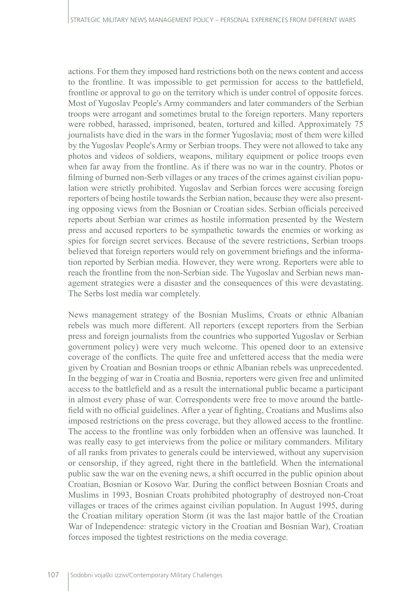actions. For them they imposed hard restrictions both on the news content and access to the frontline. It was impossible to get permission for access to the battlefield, frontline or approval to go on the territory which is under control of opposite forces. Most of Yugoslav People's Army commanders and later commanders of the Serbian troops were arrogant and sometimes brutal to the foreign reporters. Many reporters were robbed, harassed, imprisoned, beaten, tortured and killed. Approximately 75 journalists have died in the wars in the former Yugoslavia; most of them were killed by the Yugoslav People's Army or Serbian troops. They were not allowed to take any photos and videos of soldiers, weapons, military equipment or police troops even when far away from the frontline. As if there was no war in the country. Photos or filming of burned non-Serb villages or any traces of the crimes against civilian population were strictly prohibited. Yugoslav and Serbian forces were accusing foreign reporters of being hostile towards the Serbian nation, because they were also presenting opposing views from the Bosnian or Croatian sides. Serbian officials perceived reports about Serbian war crimes as hostile information presented by the Western press and accused reporters to be sympathetic towards the enemies or working as spies for foreign secret services. Because of the severe restrictions, Serbian troops believed that foreign reporters would rely on government briefings and the information reported by Serbian media. However, they were wrong. Reporters were able to reach the frontline from the non-Serbian side. The Yugoslav and Serbian news management strategies were a disaster and the consequences of this were devastating. The Serbs lost media war completely.

News management strategy of the Bosnian Muslims, Croats or ethnic Albanian rebels was much more different. All reporters (except reporters from the Serbian press and foreign journalists from the countries who supported Yugoslav or Serbian government policy) were very much welcome. This opened door to an extensive coverage of the conflicts. The quite free and unfettered access that the media were given by Croatian and Bosnian troops or ethnic Albanian rebels was unprecedented. In the begging of war in Croatia and Bosnia, reporters were given free and unlimited access to the battlefield and as a result the international public became a participant in almost every phase of war. Correspondents were free to move around the battlefield with no official guidelines. After a year of fighting, Croatians and Muslims also imposed restrictions on the press coverage, but they allowed access to the frontline. The access to the frontline was only forbidden when an offensive was launched. It was really easy to get interviews from the police or military commanders. Military of all ranks from privates to generals could be interviewed, without any supervision or censorship, if they agreed, right there in the battlefield. When the international public saw the war on the evening news, a shift occurred in the public opinion about Croatian, Bosnian or Kosovo War. During the conflict between Bosnian Croats and Muslims in 1993, Bosnian Croats prohibited photography of destroyed non-Croat villages or traces of the crimes against civilian population. In August 1995, during the Croatian military operation Storm (it was the last major battle of the [Croatian](http://en.wikipedia.org/wiki/Croatian_War_of_Independence)  [War of Independence](http://en.wikipedia.org/wiki/Croatian_War_of_Independence): [strategic victory](http://en.wikipedia.org/wiki/Strategic_victory) in the Croatian and [Bosnian War](http://en.wikipedia.org/wiki/Bosnian_War)), Croatian forces imposed the tightest restrictions on the media coverage.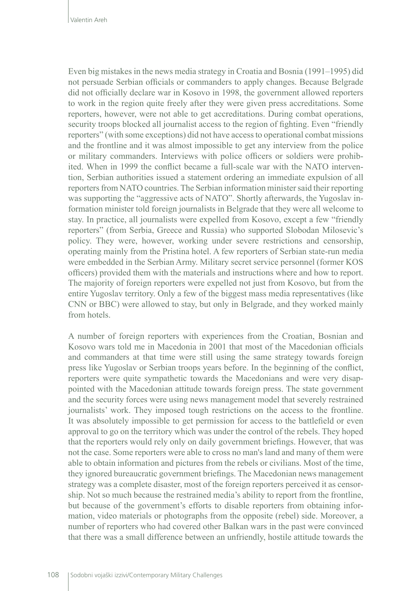Even big mistakes in the news media strategy in Croatia and Bosnia (1991–1995) did not persuade Serbian officials or commanders to apply changes. Because Belgrade did not officially declare war in Kosovo in 1998, the government allowed reporters to work in the region quite freely after they were given press accreditations. Some reporters, however, were not able to get accreditations. During combat operations, security troops blocked all journalist access to the region of fighting. Even "friendly reporters" (with some exceptions) did not have access to operational combat missions and the frontline and it was almost impossible to get any interview from the police or military commanders. Interviews with police officers or soldiers were prohibited. When in 1999 the conflict became a full-scale war with the NATO intervention, Serbian authorities issued a statement ordering an immediate expulsion of all reporters from NATO countries. The Serbian information minister said their reporting was supporting the "aggressive acts of NATO". Shortly afterwards, the Yugoslav information minister told foreign journalists in Belgrade that they were all welcome to stay. In practice, all journalists were expelled from Kosovo, except a few "friendly reporters" (from Serbia, Greece and Russia) who supported Slobodan Milosevic's policy. They were, however, working under severe restrictions and censorship, operating mainly from the Pristina hotel. A few reporters of Serbian state-run media were embedded in the Serbian Army. Military secret service personnel (former KOS officers) provided them with the materials and instructions where and how to report. The majority of foreign reporters were expelled not just from Kosovo, but from the entire Yugoslav territory. Only a few of the biggest mass media representatives (like CNN or BBC) were allowed to stay, but only in Belgrade, and they worked mainly from hotels.

A number of foreign reporters with experiences from the Croatian, Bosnian and Kosovo wars told me in Macedonia in 2001 that most of the Macedonian officials and commanders at that time were still using the same strategy towards foreign press like Yugoslav or Serbian troops years before. In the beginning of the conflict, reporters were quite sympathetic towards the Macedonians and were very disappointed with the Macedonian attitude towards foreign press. The state government and the security forces were using news management model that severely restrained journalists' work. They imposed tough restrictions on the access to the frontline. It was absolutely impossible to get permission for access to the battlefield or even approval to go on the territory which was under the control of the rebels. They hoped that the reporters would rely only on daily government briefings. However, that was not the case. Some reporters were able to cross no man's land and many of them were able to obtain information and pictures from the rebels or civilians. Most of the time, they ignored bureaucratic government briefings. The Macedonian news management strategy was a complete disaster, most of the foreign reporters perceived it as censorship. Not so much because the restrained media's ability to report from the frontline, but because of the government's efforts to disable reporters from obtaining information, video materials or photographs from the opposite (rebel) side. Moreover, a number of reporters who had covered other Balkan wars in the past were convinced that there was a small difference between an unfriendly, hostile attitude towards the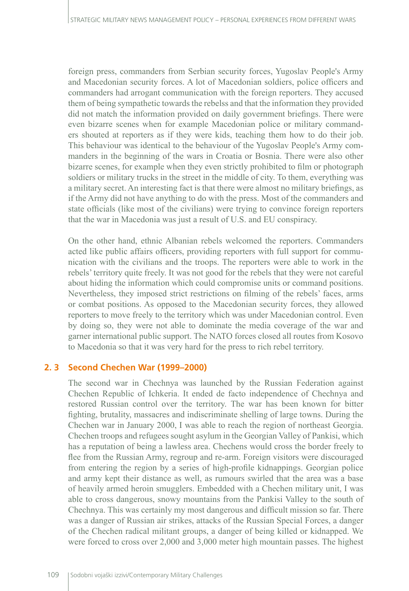foreign press, commanders from Serbian security forces, Yugoslav People's Army and Macedonian security forces. A lot of Macedonian soldiers, police officers and commanders had arrogant communication with the foreign reporters. They accused them of being sympathetic towards the rebelss and that the information they provided did not match the information provided on daily government briefings. There were even bizarre scenes when for example Macedonian police or military commanders shouted at reporters as if they were kids, teaching them how to do their job. This behaviour was identical to the behaviour of the Yugoslav People's Army commanders in the beginning of the wars in Croatia or Bosnia. There were also other bizarre scenes, for example when they even strictly prohibited to film or photograph soldiers or military trucks in the street in the middle of city. To them, everything was a military secret. An interesting fact is that there were almost no military briefings, as if the Army did not have anything to do with the press. Most of the commanders and state officials (like most of the civilians) were trying to convince foreign reporters that the war in Macedonia was just a result of U.S. and EU conspiracy.

On the other hand, ethnic Albanian rebels welcomed the reporters. Commanders acted like public affairs officers, providing reporters with full support for communication with the civilians and the troops. The reporters were able to work in the rebels' territory quite freely. It was not good for the rebels that they were not careful about hiding the information which could compromise units or command positions. Nevertheless, they imposed strict restrictions on filming of the rebels' faces, arms or combat positions. As opposed to the Macedonian security forces, they allowed reporters to move freely to the territory which was under Macedonian control. Even by doing so, they were not able to dominate the media coverage of the war and garner international public support. The NATO forces closed all routes from Kosovo to Macedonia so that it was very hard for the press to rich rebel territory.

## **2. 3 Second Chechen War (1999–2000)**

The second war in Chechnya was launched by the Russian Federation against Chechen Republic of Ichkeria. It ended de facto independence of Chechnya and restored Russian control over the territory. The war has been known for bitter fighting, brutality, massacres and indiscriminate shelling of large towns. During the Chechen war in January 2000, I was able to reach the region of northeast Georgia. Chechen troops and refugees sought asylum in the Georgian Valley of Pankisi, which has a reputation of being a lawless area. Chechens would cross the border freely to flee from the Russian Army, regroup and re-arm. Foreign visitors were discouraged from entering the region by a series of high-profile kidnappings. Georgian police and army kept their distance as well, as rumours swirled that the area was a base of heavily armed heroin smugglers. Embedded with a Chechen military unit, I was able to cross dangerous, snowy mountains from the Pankisi Valley to the south of Chechnya. This was certainly my most dangerous and difficult mission so far. There was a danger of Russian air strikes, attacks of the Russian Special Forces, a danger of the Chechen radical militant groups, a danger of being killed or kidnapped. We were forced to cross over 2,000 and 3,000 meter high mountain passes. The highest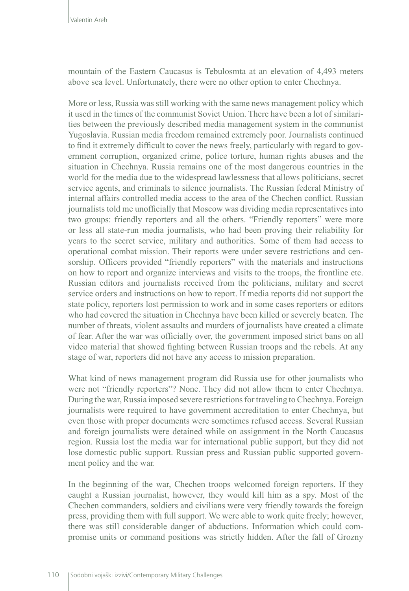mountain of the Eastern Caucasus is Tebulosmta at an elevation of 4,493 meters above sea level. Unfortunately, there were no other option to enter Chechnya.

More or less, Russia was still working with the same news management policy which it used in the times of the communist Soviet Union. There have been a lot of similarities between the previously described media management system in the communist Yugoslavia. Russian media freedom remained extremely poor. Journalists continued to find it extremely difficult to cover the news freely, particularly with regard to government corruption, organized crime, police torture, human rights abuses and the situation in Chechnya. Russia remains one of the most dangerous countries in the world for the media due to the widespread lawlessness that allows politicians, secret service agents, and criminals to silence journalists. The Russian federal Ministry of internal affairs controlled media access to the area of the Chechen conflict. Russian journalists told me unofficially that Moscow was dividing media representatives into two groups: friendly reporters and all the others. "Friendly reporters" were more or less all state-run media journalists, who had been proving their reliability for years to the secret service, military and authorities. Some of them had access to operational combat mission. Their reports were under severe restrictions and censorship. Officers provided "friendly reporters" with the materials and instructions on how to report and organize interviews and visits to the troops, the frontline etc. Russian editors and journalists received from the politicians, military and secret service orders and instructions on how to report. If media reports did not support the state policy, reporters lost permission to work and in some cases reporters or editors who had covered the situation in Chechnya have been killed or severely beaten. The number of threats, violent assaults and murders of journalists have created a climate of fear. After the war was officially over, the government imposed strict bans on all video material that showed fighting between Russian troops and the rebels. At any stage of war, reporters did not have any access to mission preparation.

What kind of news management program did Russia use for other journalists who were not "friendly reporters"? None. They did not allow them to enter Chechnya. During the war, Russia imposed severe restrictions for traveling to Chechnya. Foreign journalists were required to have government accreditation to enter Chechnya, but even those with proper documents were sometimes refused access. Several Russian and foreign journalists were detained while on assignment in the North Caucasus region. Russia lost the media war for international public support, but they did not lose domestic public support. Russian press and Russian public supported government policy and the war.

In the beginning of the war, Chechen troops welcomed foreign reporters. If they caught a Russian journalist, however, they would kill him as a spy. Most of the Chechen commanders, soldiers and civilians were very friendly towards the foreign press, providing them with full support. We were able to work quite freely; however, there was still considerable danger of abductions. Information which could compromise units or command positions was strictly hidden. After the fall of Grozny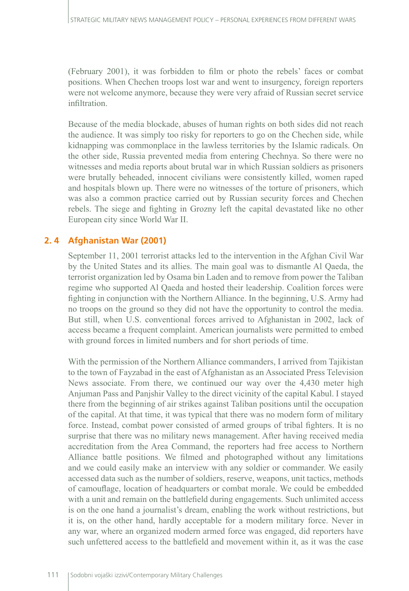(February 2001), it was forbidden to film or photo the rebels' faces or combat positions. When Chechen troops lost war and went to insurgency, foreign reporters were not welcome anymore, because they were very afraid of Russian secret service infiltration.

Because of the media blockade, abuses of human rights on both sides did not reach the audience. It was simply too risky for reporters to go on the Chechen side, while kidnapping was commonplace in the lawless territories by the Islamic radicals. On the other side, Russia prevented media from entering Chechnya. So there were no witnesses and media reports about brutal war in which Russian soldiers as prisoners were brutally beheaded, innocent civilians were consistently killed, women raped and hospitals blown up. There were no witnesses of the torture of prisoners, which was also a common practice carried out by Russian security forces and Chechen rebels. The siege and fighting in Grozny left the capital devastated like no other European city since World War II.

# **2. 4 Afghanistan War (2001)**

September 11, 2001 terrorist attacks led to the intervention in the Afghan Civil War by the United States and its allies. The main goal was to dismantle Al Qaeda, the terrorist organization led by Osama bin Laden and to remove from power the Taliban regime who supported Al Qaeda and hosted their leadership. Coalition forces were fighting in conjunction with the Northern Alliance. In the beginning, U.S. Army had no troops on the ground so they did not have the opportunity to control the media. But still, when U.S. conventional forces arrived to Afghanistan in 2002, lack of access became a frequent complaint. American journalists were permitted to embed with ground forces in limited numbers and for short periods of time.

With the permission of the Northern Alliance commanders, I arrived from Tajikistan to the town of Fayzabad in the east of Afghanistan as an Associated Press Television News associate. From there, we continued our way over the 4,430 meter high Anjuman Pass and Panjshir Valley to the direct vicinity of the capital Kabul. I stayed there from the beginning of air strikes against Taliban positions until the occupation of the capital. At that time, it was typical that there was no modern form of military force. Instead, combat power consisted of armed groups of tribal fighters. It is no surprise that there was no military news management. After having received media accreditation from the Area Command, the reporters had free access to Northern Alliance battle positions. We filmed and photographed without any limitations and we could easily make an interview with any soldier or commander. We easily accessed data such as the number of soldiers, reserve, weapons, unit tactics, methods of camouflage, location of headquarters or combat morale. We could be embedded with a unit and remain on the battlefield during engagements. Such unlimited access is on the one hand a journalist's dream, enabling the work without restrictions, but it is, on the other hand, hardly acceptable for a modern military force. Never in any war, where an organized modern armed force was engaged, did reporters have such unfettered access to the battlefield and movement within it, as it was the case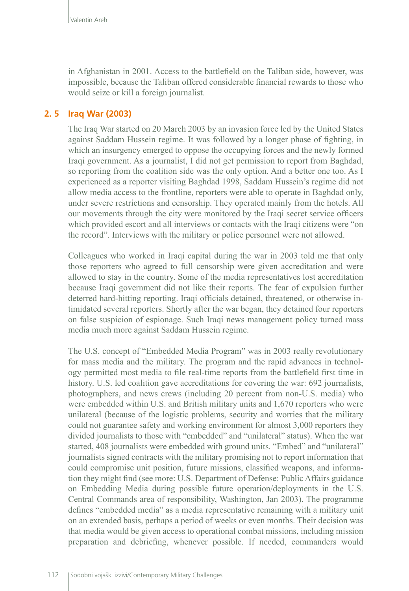in Afghanistan in 2001. Access to the battlefield on the Taliban side, however, was impossible, because the Taliban offered considerable financial rewards to those who would seize or kill a foreign journalist.

## **2. 5 Iraq War (2003)**

The Iraq War started on 20 March 2003 by an invasion force led by the United States against Saddam Hussein regime. It was followed by a longer phase of fighting, in which an insurgency emerged to oppose the occupying forces and the newly formed Iraqi government. As a journalist, I did not get permission to report from Baghdad, so reporting from the coalition side was the only option. And a better one too. As I experienced as a reporter visiting Baghdad 1998, Saddam Hussein's regime did not allow media access to the frontline, reporters were able to operate in Baghdad only, under severe restrictions and censorship. They operated mainly from the hotels. All our movements through the city were monitored by the Iraqi secret service officers which provided escort and all interviews or contacts with the Iraqi citizens were "on the record". Interviews with the military or police personnel were not allowed.

Colleagues who worked in Iraqi capital during the war in 2003 told me that only those reporters who agreed to full censorship were given accreditation and were allowed to stay in the country. Some of the media representatives lost accreditation because Iraqi government did not like their reports. The fear of expulsion further deterred hard-hitting reporting. Iraqi officials detained, threatened, or otherwise intimidated several reporters. Shortly after the war began, they detained four reporters on false suspicion of espionage. Such Iraqi news management policy turned mass media much more against Saddam Hussein regime.

The U.S. concept of "Embedded Media Program" was in 2003 really revolutionary for mass media and the military. The program and the rapid advances in technology permitted most media to file real-time reports from the battlefield first time in history. U.S. led coalition gave accreditations for covering the war: 692 journalists, photographers, and news crews (including 20 percent from non-U.S. media) who were embedded within U.S. and British military units and 1,670 reporters who were unilateral (because of the logistic problems, security and worries that the military could not guarantee safety and working environment for almost 3,000 reporters they divided journalists to those with "embedded" and "unilateral" status). When the war started, 408 journalists were embedded with ground units. "Embed" and "unilateral" journalists signed contracts with the military promising not to report information that could compromise unit position, future missions, classified weapons, and information they might find (see more: U.S. Department of Defense: Public Affairs guidance on Embedding Media during possible future operation/deployments in the U.S. Central Commands area of responsibility, Washington, Jan 2003). The programme defines "embedded media" as a media representative remaining with a military unit on an extended basis, perhaps a period of weeks or even months. Their decision was that media would be given access to operational combat missions, including mission preparation and debriefing, whenever possible. If needed, commanders would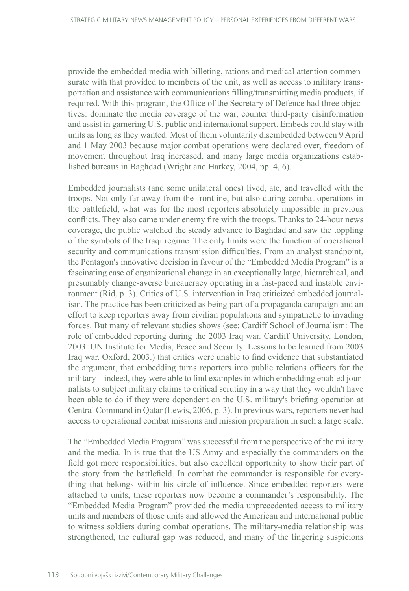provide the embedded media with billeting, rations and medical attention commensurate with that provided to members of the unit, as well as access to military transportation and assistance with communications filling/transmitting media products, if required. With this program, the Office of the Secretary of Defence had three objectives: dominate the media coverage of the war, counter third-party disinformation and assist in garnering U.S. public and international support. Embeds could stay with units as long as they wanted. Most of them voluntarily disembedded between 9 April and 1 May 2003 because major combat operations were declared over, freedom of movement throughout Iraq increased, and many large media organizations established bureaus in Baghdad (Wright and Harkey, 2004, pp. 4, 6).

Embedded journalists (and some unilateral ones) lived, ate, and travelled with the troops. Not only far away from the frontline, but also during combat operations in the battlefield, what was for the most reporters absolutely impossible in previous conflicts. They also came under enemy fire with the troops. Thanks to 24-hour news coverage, the public watched the steady advance to Baghdad and saw the toppling of the symbols of the Iraqi regime. The only limits were the function of operational security and communications transmission difficulties. From an analyst standpoint, the Pentagon's innovative decision in favour of the "Embedded Media Program" is a fascinating case of organizational change in an exceptionally large, hierarchical, and presumably change-averse bureaucracy operating in a fast-paced and instable environment (Rid, p. 3). Critics of U.S. intervention in Iraq criticized embedded journalism. The practice has been criticized as being part of a propaganda campaign and an effort to keep reporters away from civilian populations and sympathetic to invading forces. But many of relevant studies shows (see: Cardiff School of Journalism: The role of embedded reporting during the 2003 Iraq war. Cardiff University, London, 2003. UN Institute for Media, Peace and Security: Lessons to be learned from 2003 Iraq war. Oxford, 2003.) that critics were unable to find evidence that substantiated the argument, that embedding turns reporters into public relations officers for the military – indeed, they were able to find examples in which embedding enabled journalists to subject military claims to critical scrutiny in a way that they wouldn't have been able to do if they were dependent on the U.S. military's briefing operation at Central Command in Qatar (Lewis, 2006, p. 3). In previous wars, reporters never had access to operational combat missions and mission preparation in such a large scale.

The "Embedded Media Program" was successful from the perspective of the military and the media. In is true that the US Army and especially the commanders on the field got more responsibilities, but also excellent opportunity to show their part of the story from the battlefield. In combat the commander is responsible for everything that belongs within his circle of influence. Since embedded reporters were attached to units, these reporters now become a commander's responsibility. The "Embedded Media Program" provided the media unprecedented access to military units and members of those units and allowed the American and international public to witness soldiers during combat operations. The military-media relationship was strengthened, the cultural gap was reduced, and many of the lingering suspicions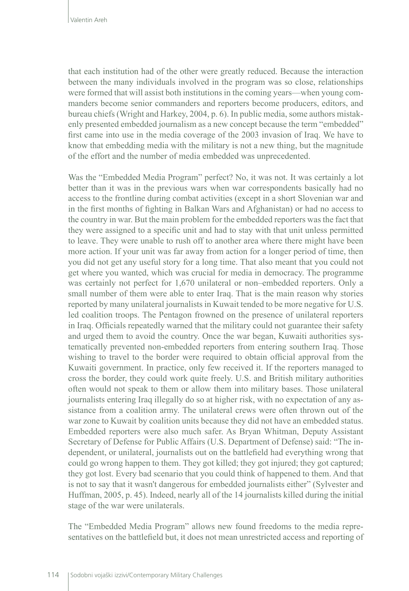that each institution had of the other were greatly reduced. Because the interaction between the many individuals involved in the program was so close, relationships were formed that will assist both institutions in the coming years—when young commanders become senior commanders and reporters become producers, editors, and bureau chiefs (Wright and Harkey, 2004, p. 6). In public media, some authors mistakenly presented embedded journalism as a new concept because the term "embedded" first came into use in the media coverage of the 2003 invasion of Iraq. We have to know that embedding media with the military is not a new thing, but the magnitude of the effort and the number of media embedded was unprecedented.

Was the "Embedded Media Program" perfect? No, it was not. It was certainly a lot better than it was in the previous wars when war correspondents basically had no access to the frontline during combat activities (except in a short Slovenian war and in the first months of fighting in Balkan Wars and Afghanistan) or had no access to the country in war. But the main problem for the embedded reporters was the fact that they were assigned to a specific unit and had to stay with that unit unless permitted to leave. They were unable to rush off to another area where there might have been more action. If your unit was far away from action for a longer period of time, then you did not get any useful story for a long time. That also meant that you could not get where you wanted, which was crucial for media in democracy. The programme was certainly not perfect for 1,670 unilateral or non–embedded reporters. Only a small number of them were able to enter Iraq. That is the main reason why stories reported by many unilateral journalists in Kuwait tended to be more negative for U.S. led coalition troops. The Pentagon frowned on the presence of unilateral reporters in Iraq. Officials repeatedly warned that the military could not guarantee their safety and urged them to avoid the country. Once the war began, Kuwaiti authorities systematically prevented non-embedded reporters from entering southern Iraq. Those wishing to travel to the border were required to obtain official approval from the Kuwaiti government. In practice, only few received it. If the reporters managed to cross the border, they could work quite freely. U.S. and British military authorities often would not speak to them or allow them into military bases. Those unilateral journalists entering Iraq illegally do so at higher risk, with no expectation of any assistance from a coalition army. The unilateral crews were often thrown out of the war zone to Kuwait by coalition units because they did not have an embedded status. Embedded reporters were also much safer. As Bryan Whitman, Deputy Assistant Secretary of Defense for Public Affairs (U.S. Department of Defense) said: "The independent, or unilateral, journalists out on the battlefield had everything wrong that could go wrong happen to them. They got killed; they got injured; they got captured; they got lost. Every bad scenario that you could think of happened to them. And that is not to say that it wasn't dangerous for embedded journalists either" (Sylvester and Huffman, 2005, p. 45). Indeed, nearly all of the 14 journalists killed during the initial stage of the war were unilaterals.

The "Embedded Media Program" allows new found freedoms to the media representatives on the battlefield but, it does not mean unrestricted access and reporting of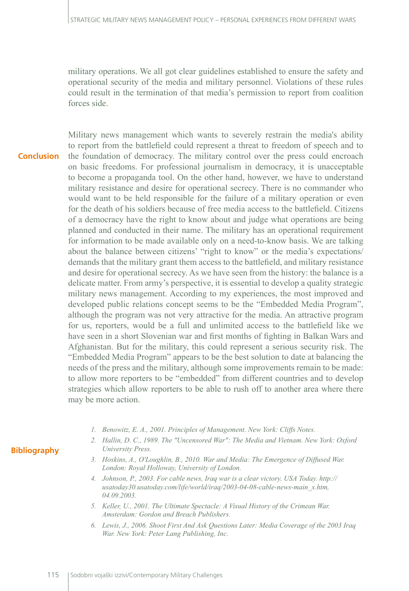military operations. We all got clear guidelines established to ensure the safety and operational security of the media and military personnel. Violations of these rules could result in the termination of that media's permission to report from coalition forces side.

Military news management which wants to severely restrain the media's ability to report from the battlefield could represent a threat to freedom of speech and to the foundation of democracy. The military control over the press could encroach on basic freedoms. For professional journalism in democracy, it is unacceptable to become a propaganda tool. On the other hand, however, we have to understand military resistance and desire for operational secrecy. There is no commander who would want to be held responsible for the failure of a military operation or even for the death of his soldiers because of free media access to the battlefield. Citizens of a democracy have the right to know about and judge what operations are being planned and conducted in their name. The military has an operational requirement for information to be made available only on a need-to-know basis. We are talking about the balance between citizens' "right to know" or the media's expectations/ demands that the military grant them access to the battlefield, and military resistance and desire for operational secrecy. As we have seen from the history: the balance is a delicate matter. From army's perspective, it is essential to develop a quality strategic military news management. According to my experiences, the most improved and developed public relations concept seems to be the "Embedded Media Program", although the program was not very attractive for the media. An attractive program for us, reporters, would be a full and unlimited access to the battlefield like we have seen in a short Slovenian war and first months of fighting in Balkan Wars and Afghanistan. But for the military, this could represent a serious security risk. The "Embedded Media Program" appears to be the best solution to date at balancing the needs of the press and the military, although some improvements remain to be made: to allow more reporters to be "embedded" from different countries and to develop strategies which allow reporters to be able to rush off to another area where there may be more action. **Conclusion**

- *1. Benowitz, E. A., 2001. Principles of Management. New York: Cliffs Notes.*
- *2. Hallin, D. C., 1989. The "Uncensored War": The Media and Vietnam. New York: Oxford University Press.*
- *3. Hoskins, A., O'Loughlin, B., 2010. War and Media: The Emergence of Diffused War. London: Royal Holloway, University of London.*
- *4. Johnson, P., 2003. For cable news, Iraq war is a clear victory. USA Today. [http://](http://usatoday30.usatoday.com/life/world/iraq/2003-04-08-cable-news-main_x.htm) [usatoday30.usatoday.com/life/world/iraq/2003-04-08-cable-news-main\\_x.htm,](http://usatoday30.usatoday.com/life/world/iraq/2003-04-08-cable-news-main_x.htm) 04.09.2003.*
- *5. Keller, U., 2001. The Ultimate Spectacle: A Visual History of the Crimean War. Amsterdam: Gordon and Breach Publishers.*
- *6. Lewis, J., 2006. Shoot First And Ask Questions Later: Media Coverage of the 2003 Iraq War. New York: Peter Lang Publishing, Inc.*

### **Bibliography**